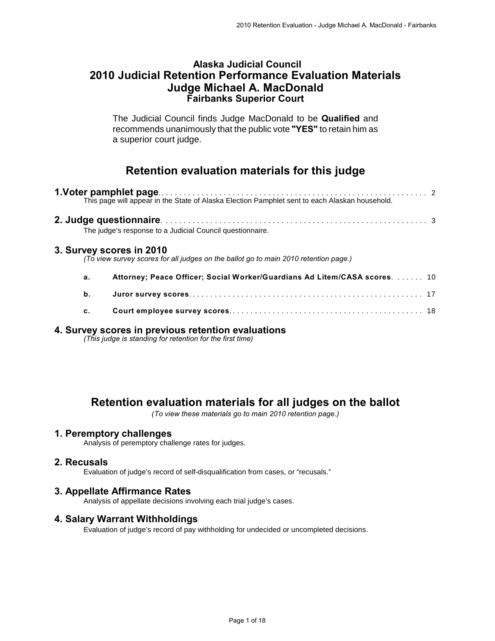### **Alaska Judicial Council 2010 Judicial Retention Performance Evaluation Materials Judge Michael A. MacDonald Fairbanks Superior Court**

The Judicial Council finds Judge MacDonald to be **Qualified** and recommends unanimously that the public vote **"YES"** to retain him as a superior court judge.

# **Retention evaluation materials for this judge**

|                          | The judge's response to a Judicial Council questionnaire.                            |  |
|--------------------------|--------------------------------------------------------------------------------------|--|
| 3. Survey scores in 2010 | (To view survey scores for all judges on the ballot go to main 2010 retention page.) |  |
| а.                       | Attorney; Peace Officer; Social Worker/Guardians Ad Litem/CASA scores.  10           |  |
| b.                       |                                                                                      |  |
| c.                       |                                                                                      |  |
|                          |                                                                                      |  |

# **4. Survey scores in previous retention evaluations**

*(This judge is standing for retention for the first time)*

# **Retention evaluation materials for all judges on the ballot**

*(To view these materials go to main 2010 retention page.)*

### **1. Peremptory challenges**

Analysis of peremptory challenge rates for judges.

### **2. Recusals**

Evaluation of judge's record of self-disqualification from cases, or "recusals."

### **3. Appellate Affirmance Rates**

Analysis of appellate decisions involving each trial judge's cases.

### **4. Salary Warrant Withholdings**

Evaluation of judge's record of pay withholding for undecided or uncompleted decisions.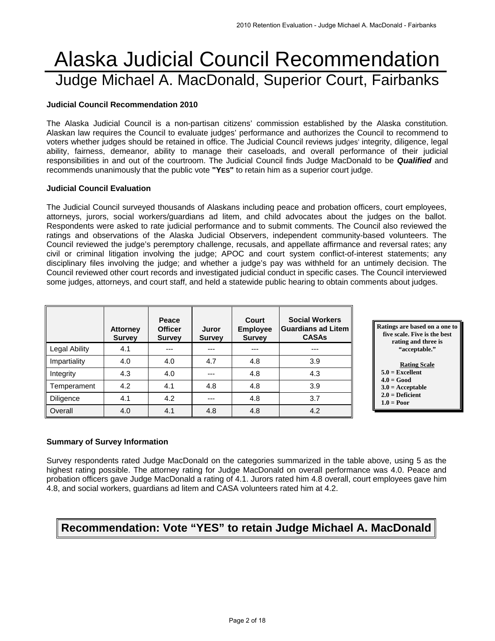# Alaska Judicial Council Recommendation Judge Michael A. MacDonald, Superior Court, Fairbanks

#### **Judicial Council Recommendation 2010**

The Alaska Judicial Council is a non-partisan citizens' commission established by the Alaska constitution. Alaskan law requires the Council to evaluate judges' performance and authorizes the Council to recommend to voters whether judges should be retained in office. The Judicial Council reviews judges' integrity, diligence, legal ability, fairness, demeanor, ability to manage their caseloads, and overall performance of their judicial responsibilities in and out of the courtroom. The Judicial Council finds Judge MacDonald to be *Qualified* and recommends unanimously that the public vote **"YES"** to retain him as a superior court judge.

#### **Judicial Council Evaluation**

The Judicial Council surveyed thousands of Alaskans including peace and probation officers, court employees, attorneys, jurors, social workers/guardians ad litem, and child advocates about the judges on the ballot. Respondents were asked to rate judicial performance and to submit comments. The Council also reviewed the ratings and observations of the Alaska Judicial Observers, independent community-based volunteers. The Council reviewed the judge's peremptory challenge, recusals, and appellate affirmance and reversal rates; any civil or criminal litigation involving the judge; APOC and court system conflict-of-interest statements; any disciplinary files involving the judge; and whether a judge's pay was withheld for an untimely decision. The Council reviewed other court records and investigated judicial conduct in specific cases. The Council interviewed some judges, attorneys, and court staff, and held a statewide public hearing to obtain comments about judges.

|                  | <b>Attorney</b><br><b>Survey</b> | Peace<br><b>Officer</b><br><b>Survey</b> | Juror<br><b>Survey</b> | Court<br><b>Employee</b><br><b>Survey</b> | <b>Social Workers</b><br><b>Guardians ad Litem</b><br><b>CASAs</b> |
|------------------|----------------------------------|------------------------------------------|------------------------|-------------------------------------------|--------------------------------------------------------------------|
| Legal Ability    | 4.1                              |                                          |                        |                                           | ---                                                                |
| Impartiality     | 4.0                              | 4.0                                      | 4.7                    | 4.8                                       | 3.9                                                                |
| Integrity        | 4.3                              | 4.0                                      | ---                    | 4.8                                       | 4.3                                                                |
| Temperament      | 4.2                              | 4.1                                      | 4.8                    | 4.8                                       | 3.9                                                                |
| <b>Diligence</b> | 4.1                              | 4.2                                      | ---                    | 4.8                                       | 3.7                                                                |
| Overall          | 4.0                              | 4.1                                      | 4.8                    | 4.8                                       | 4.2                                                                |



 **1.0 = Poor** 

### **Summary of Survey Information**

Survey respondents rated Judge MacDonald on the categories summarized in the table above, using 5 as the highest rating possible. The attorney rating for Judge MacDonald on overall performance was 4.0. Peace and probation officers gave Judge MacDonald a rating of 4.1. Jurors rated him 4.8 overall, court employees gave him 4.8, and social workers, guardians ad litem and CASA volunteers rated him at 4.2.

# **Recommendation: Vote "YES" to retain Judge Michael A. MacDonald**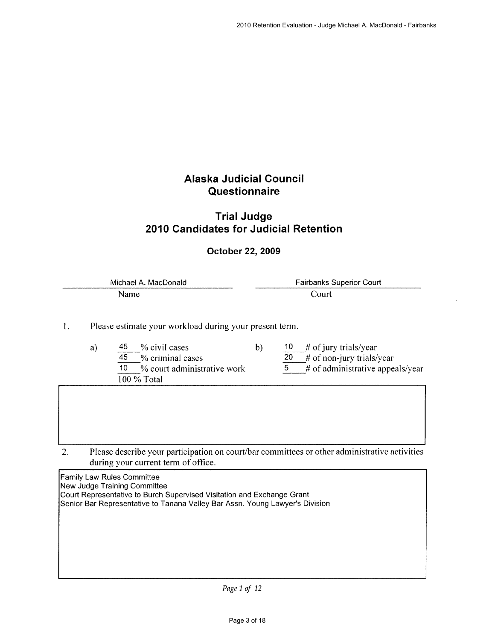# **Alaska Judicial Council** Questionnaire

### **Trial Judge** 2010 Candidates for Judicial Retention

### October 22, 2009

| Michael A. MacDonald | <b>Fairbanks Superior Court</b> |
|----------------------|---------------------------------|
| Name                 | .`our†                          |

 $b)$ 

Please estimate your workload during your present term. 1.

- 45 % civil cases a)  $\overline{45}$ % criminal cases  $\overline{10}$ % court administrative work 100 % Total
- $10<sub>1</sub>$ # of jury trials/year

 $\overline{20}$ # of non-jury trials/year

 $\overline{5}$ # of administrative appeals/year

Please describe your participation on court/bar committees or other administrative activities 2. during your current term of office.

Family Law Rules Committee New Judge Training Committee Court Representative to Burch Supervised Visitation and Exchange Grant Senior Bar Representative to Tanana Valley Bar Assn. Young Lawyer's Division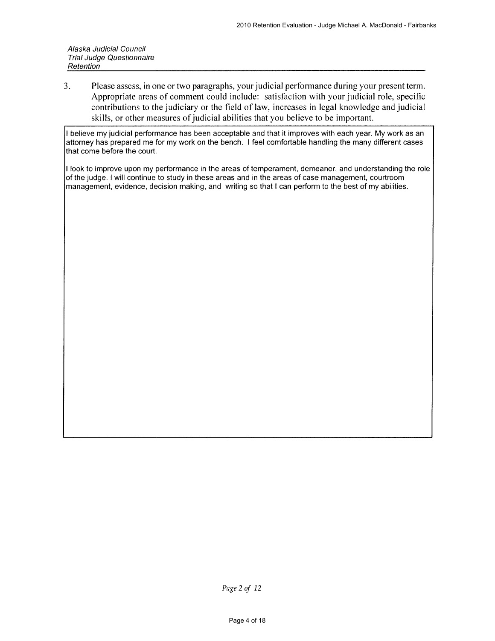$3<sub>1</sub>$ Please assess, in one or two paragraphs, your judicial performance during your present term. Appropriate areas of comment could include: satisfaction with your judicial role, specific contributions to the judiciary or the field of law, increases in legal knowledge and judicial skills, or other measures of judicial abilities that you believe to be important.

I believe my judicial performance has been acceptable and that it improves with each year. My work as an attorney has prepared me for my work on the bench. I feel comfortable handling the many different cases that come before the court.

I look to improve upon my performance in the areas of temperament, demeanor, and understanding the role of the judge. I will continue to study in these areas and in the areas of case management, courtroom management, evidence, decision making, and writing so that I can perform to the best of my abilities.

Page 2 of 12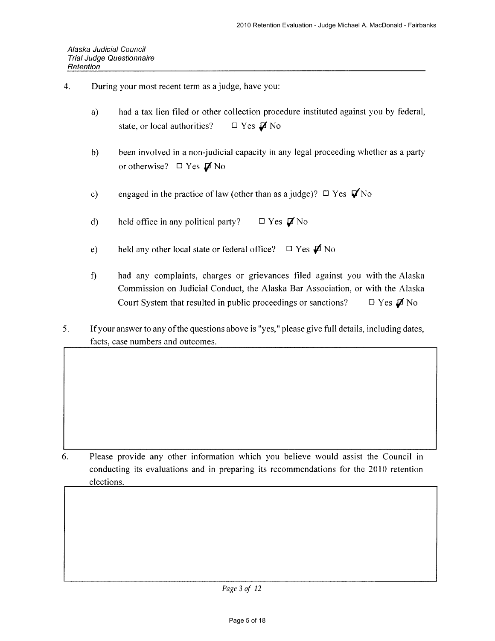- $\overline{4}$ . During your most recent term as a judge, have you:
	- had a tax lien filed or other collection procedure instituted against you by federal,  $a)$  $\Box$  Yes  $\cancel{A}$  No state, or local authorities?
	- $b)$ been involved in a non-judicial capacity in any legal proceeding whether as a party or otherwise?  $\Box$  Yes  $\cancel{\Box}$  No
	- engaged in the practice of law (other than as a judge)?  $\Box$  Yes  $\bigtriangledown$  No  $c)$
	- $\Box$  Yes  $\nabla$  No  $\mathbf{d}$ held office in any political party?
	- held any other local state or federal office?  $\Box$  Yes  $\cancel{\Box}$  No  $e)$
	- $\mathbf{f}$ had any complaints, charges or grievances filed against you with the Alaska Commission on Judicial Conduct, the Alaska Bar Association, or with the Alaska  $\Box$  Yes  $\cancel{\Box}$  No Court System that resulted in public proceedings or sanctions?
- 5. If your answer to any of the questions above is "yes," please give full details, including dates, facts, case numbers and outcomes.

6. Please provide any other information which you believe would assist the Council in conducting its evaluations and in preparing its recommendations for the 2010 retention elections.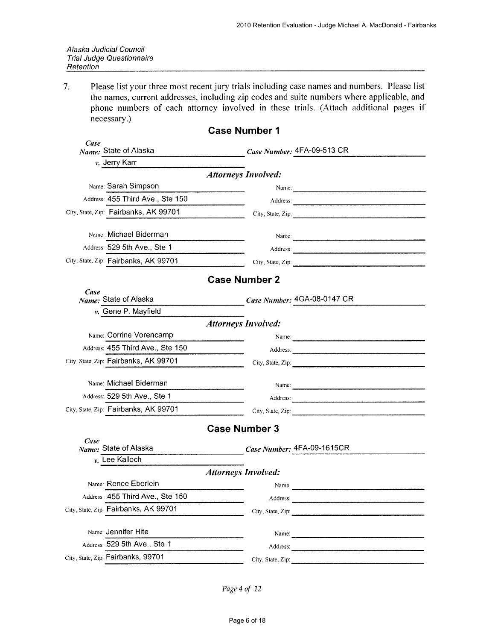$7.$ Please list your three most recent jury trials including case names and numbers. Please list the names, current addresses, including zip codes and suite numbers where applicable, and phone numbers of each attorney involved in these trials. (Attach additional pages if necessary.)

|      |                                                     | <b>Case Number 1</b>       |       |                                                                                                                                                                                                                                                                                                        |
|------|-----------------------------------------------------|----------------------------|-------|--------------------------------------------------------------------------------------------------------------------------------------------------------------------------------------------------------------------------------------------------------------------------------------------------------|
| Case | Name: State of Alaska                               |                            |       | Case Number: 4FA-09-513 CR                                                                                                                                                                                                                                                                             |
|      | v. Jerry Karr                                       |                            |       |                                                                                                                                                                                                                                                                                                        |
|      |                                                     | <b>Attorneys Involved:</b> |       |                                                                                                                                                                                                                                                                                                        |
|      | Name: Sarah Simpson                                 |                            |       | Name: 2008. 2009. 2010. 2010. 2010. 2010. 2010. 2010. 2010. 2010. 2011. 2012. 2013. 2014. 2016. 2017. 2017. 20                                                                                                                                                                                         |
|      | Address: 455 Third Ave., Ste 150                    |                            |       |                                                                                                                                                                                                                                                                                                        |
|      | City, State, Zip: Fairbanks, AK 99701               |                            |       |                                                                                                                                                                                                                                                                                                        |
|      | Name: Michael Biderman                              |                            |       |                                                                                                                                                                                                                                                                                                        |
|      | Address: 529 5th Ave., Ste 1                        |                            |       | Address: 2008 Committee Committee Committee Committee Committee Committee Committee Committee Committee Committee Committee Committee Committee Committee Committee Committee Committee Committee Committee Committee Committe                                                                         |
|      | City, State, Zip. Fairbanks, AK 99701               |                            |       | City, State, Zip: $\frac{1}{2}$ and $\frac{1}{2}$ and $\frac{1}{2}$ and $\frac{1}{2}$ and $\frac{1}{2}$ and $\frac{1}{2}$ and $\frac{1}{2}$ and $\frac{1}{2}$ and $\frac{1}{2}$ and $\frac{1}{2}$ and $\frac{1}{2}$ and $\frac{1}{2}$ and $\frac{1}{2}$ and $\frac{1}{2}$ and $\frac{1}{2$             |
|      |                                                     | <b>Case Number 2</b>       |       |                                                                                                                                                                                                                                                                                                        |
| Case | Name: State of Alaska                               |                            |       | Case Number: 4GA-08-0147 CR                                                                                                                                                                                                                                                                            |
|      | v. Gene P. Mayfield                                 |                            |       |                                                                                                                                                                                                                                                                                                        |
|      |                                                     | <b>Attorneys Involved:</b> |       |                                                                                                                                                                                                                                                                                                        |
|      | Name: Corrine Vorencamp                             |                            |       |                                                                                                                                                                                                                                                                                                        |
|      | Address: 455 Third Ave., Ste 150                    |                            |       |                                                                                                                                                                                                                                                                                                        |
|      | City, State, Zip: Fairbanks, AK 99701               |                            |       | City, State, Zip: 2008. Exp. 2008. The City State, Zip: 2008. The City State of The City State of The City State of The City State of The City State of The City State of The City State of The City State of The City State o                                                                         |
|      | Name: Michael Biderman                              |                            |       |                                                                                                                                                                                                                                                                                                        |
|      | Address: 529 5th Ave., Ste 1                        |                            |       |                                                                                                                                                                                                                                                                                                        |
|      | City, State, Zip: Fairbanks, AK 99701               |                            |       | City, State, Zip:                                                                                                                                                                                                                                                                                      |
|      |                                                     | <b>Case Number 3</b>       |       |                                                                                                                                                                                                                                                                                                        |
| Case |                                                     |                            |       |                                                                                                                                                                                                                                                                                                        |
|      | Name: State of Alaska<br>$vk$ . Lee Kalloch         |                            |       | Case Number: 4FA-09-1615CR                                                                                                                                                                                                                                                                             |
|      |                                                     | <b>Attorneys Involved:</b> |       |                                                                                                                                                                                                                                                                                                        |
|      | Name: Renee Eberlein                                |                            | Name: |                                                                                                                                                                                                                                                                                                        |
|      | Address: 455 Third Ave., Ste 150                    |                            |       |                                                                                                                                                                                                                                                                                                        |
|      | City, State, Zip: Fairbanks, AK 99701               |                            |       | Address:<br>City, State, Zip: $\frac{1}{2}$ and $\frac{1}{2}$ and $\frac{1}{2}$ and $\frac{1}{2}$ and $\frac{1}{2}$ and $\frac{1}{2}$ and $\frac{1}{2}$ and $\frac{1}{2}$ and $\frac{1}{2}$ and $\frac{1}{2}$ and $\frac{1}{2}$ and $\frac{1}{2}$ and $\frac{1}{2}$ and $\frac{1}{2}$ and $\frac{1}{2$ |
|      |                                                     |                            |       |                                                                                                                                                                                                                                                                                                        |
|      | Name: Jennifer Hite<br>Address: 529 5th Ave., Ste 1 |                            |       | Name: 2008. 2008. 2009. 2009. 2012. 2013. 2014. 2015. 2016. 2017. 2018. 2019. 2014. 2016. 2017. 2018. 2019. 2014. 2014. 2014. 2016. 2017. 2018. 2019. 2019. 2014. 2014. 2014. 2014. 2014. 2014. 2014. 2014. 2014. 2014. 2014.                                                                          |
|      |                                                     |                            |       |                                                                                                                                                                                                                                                                                                        |
|      | City, State, Zip: Fairbanks, 99701                  |                            |       | City, State, Zip: 2008. 2009. 2009. 2010. 2010. 2010. 2010. 2010. 2010. 2010. 2010. 2010. 2010. 2010. 2010. 20                                                                                                                                                                                         |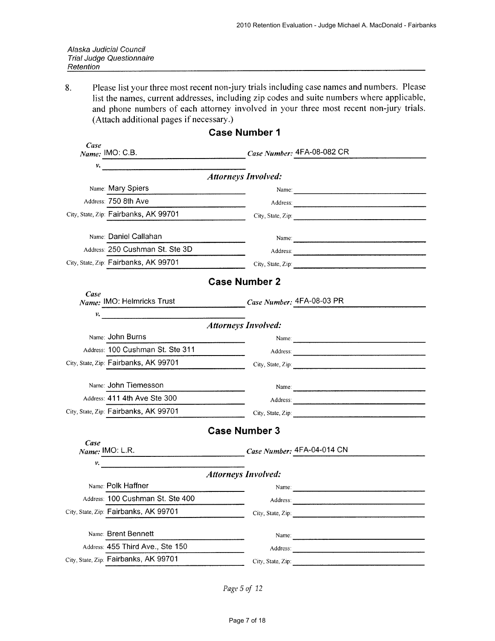| Alaska Judicial Council          |
|----------------------------------|
| <b>Trial Judge Questionnaire</b> |
| Retention                        |

Please list your three most recent non-jury trials including case names and numbers. Please 8. list the names, current addresses, including zip codes and suite numbers where applicable, and phone numbers of each attorney involved in your three most recent non-jury trials. (Attach additional pages if necessary.)

| Case | Name: IMO: C.B.                                        | $Case Number: 4FA-08-082 CR$   |                                                                                                                                                                                                                                                                                                                   |
|------|--------------------------------------------------------|--------------------------------|-------------------------------------------------------------------------------------------------------------------------------------------------------------------------------------------------------------------------------------------------------------------------------------------------------------------|
| ν.   | <u> 1980 - Jan Barnett, fransk politiker (d. 1980)</u> |                                |                                                                                                                                                                                                                                                                                                                   |
|      |                                                        | <b>Attorneys Involved:</b>     |                                                                                                                                                                                                                                                                                                                   |
|      | Name: Mary Spiers                                      |                                |                                                                                                                                                                                                                                                                                                                   |
|      | Address: 750 8th Ave                                   |                                |                                                                                                                                                                                                                                                                                                                   |
|      | City, State, Zip: Fairbanks, AK 99701                  |                                | $City$ , State, Zip:                                                                                                                                                                                                                                                                                              |
|      | Name: Daniel Callahan                                  |                                | Name:                                                                                                                                                                                                                                                                                                             |
|      | Address: 250 Cushman St. Ste 3D                        |                                |                                                                                                                                                                                                                                                                                                                   |
|      | City, State, Zip: Fairbanks, AK 99701                  |                                | City, State, Zip:                                                                                                                                                                                                                                                                                                 |
|      |                                                        | <b>Case Number 2</b>           |                                                                                                                                                                                                                                                                                                                   |
| Case | Name: IMO: Helmricks Trust                             | $Case$ Number: $4FA-08-03$ PR  |                                                                                                                                                                                                                                                                                                                   |
| ν.   |                                                        |                                |                                                                                                                                                                                                                                                                                                                   |
|      |                                                        | <b>Attorneys Involved:</b>     |                                                                                                                                                                                                                                                                                                                   |
|      | Name: John Burns                                       |                                | Name:                                                                                                                                                                                                                                                                                                             |
|      | Address: 100 Cushman St. Ste 311                       |                                |                                                                                                                                                                                                                                                                                                                   |
|      | City, State, Zip: Fairbanks, AK 99701                  | and the state of the state.    |                                                                                                                                                                                                                                                                                                                   |
|      | Name: John Tiemesson                                   |                                | Name: 2008.000 million and 2008.000 million and 2008.000 million and 2008.000 million and 2008.000 million and 2008.000 million and 2008.000 million and 2008.000 million and 2008.000 million and 2008.000 million and 2008.0                                                                                    |
|      | Address: 411 4th Ave Ste 300                           |                                |                                                                                                                                                                                                                                                                                                                   |
|      | City, State, Zip: Fairbanks, AK 99701                  |                                | City, State, Zip: $\frac{1}{2}$ $\frac{1}{2}$ $\frac{1}{2}$ $\frac{1}{2}$ $\frac{1}{2}$ $\frac{1}{2}$ $\frac{1}{2}$ $\frac{1}{2}$ $\frac{1}{2}$ $\frac{1}{2}$ $\frac{1}{2}$ $\frac{1}{2}$ $\frac{1}{2}$ $\frac{1}{2}$ $\frac{1}{2}$ $\frac{1}{2}$ $\frac{1}{2}$ $\frac{1}{2}$ $\frac{1}{2}$ $\frac{1}{2}$ $\frac$ |
|      |                                                        | <b>Case Number 3</b>           |                                                                                                                                                                                                                                                                                                                   |
| Case | Name: IMO: L.R.                                        |                                |                                                                                                                                                                                                                                                                                                                   |
| ν.   |                                                        | $Case$ Number: $4FA-04-014$ CN |                                                                                                                                                                                                                                                                                                                   |
|      |                                                        | <b>Attorneys Involved:</b>     |                                                                                                                                                                                                                                                                                                                   |
|      | Name: Polk Haffner                                     | Name:                          |                                                                                                                                                                                                                                                                                                                   |
|      | Address: 100 Cushman St. Ste 400                       | Address:                       |                                                                                                                                                                                                                                                                                                                   |
|      | City, State, Zip: Fairbanks, AK 99701                  |                                |                                                                                                                                                                                                                                                                                                                   |
|      | Name: Brent Bennett                                    |                                | Name:                                                                                                                                                                                                                                                                                                             |
|      | Address: 455 Third Ave., Ste 150                       |                                |                                                                                                                                                                                                                                                                                                                   |
|      | City, State, Zip: Fairbanks, AK 99701                  |                                | City, State, Zip:                                                                                                                                                                                                                                                                                                 |
|      |                                                        |                                |                                                                                                                                                                                                                                                                                                                   |

#### **Case Number 1**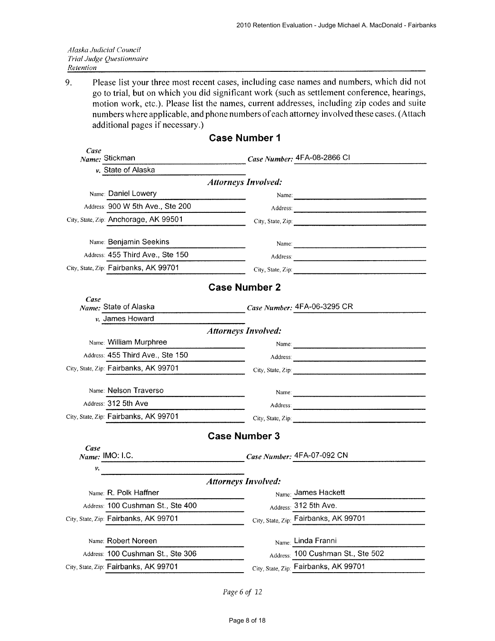|           | Alaska Judicial Council   |
|-----------|---------------------------|
|           | Trial Judge Questionnaire |
| Retention |                           |

9. Please list your three most recent cases, including case names and numbers, which did not go to trial, but on which you did significant work (such as settlement conference, hearings, motion work, etc.). Please list the names, current addresses, including zip codes and suite numbers where applicable, and phone numbers of each attorney involved these cases. (Attach additional pages if necessary.)

|                                                                                                              | <b>UASE NUITIDEL I</b>     |                                                                                                                |
|--------------------------------------------------------------------------------------------------------------|----------------------------|----------------------------------------------------------------------------------------------------------------|
| Case<br>Name: Stickman                                                                                       |                            | <i>Case Number</i> : 4FA-08-2866 CI                                                                            |
| v. State of Alaska                                                                                           |                            |                                                                                                                |
|                                                                                                              | <b>Attorneys Involved:</b> |                                                                                                                |
| Name: Daniel Lowery                                                                                          |                            |                                                                                                                |
| Address: 900 W 5th Ave., Ste 200                                                                             |                            |                                                                                                                |
| City, State, Zip: Anchorage, AK 99501                                                                        |                            | City, State, Zip:                                                                                              |
| Name: Benjamin Seekins                                                                                       |                            | Name:                                                                                                          |
| Address: 455 Third Ave., Ste 150                                                                             |                            |                                                                                                                |
| City, State, Zip: Fairbanks, AK 99701                                                                        |                            | City, State, Zip: 2008. 2009. 2009. 2010. 2010. 2010. 2010. 2010. 2010. 2010. 2010. 2010. 2010. 2010. 2010. 20 |
|                                                                                                              | <b>Case Number 2</b>       |                                                                                                                |
| Case                                                                                                         |                            |                                                                                                                |
| Name: State of Alaska<br>v. James Howard                                                                     |                            | Case Number: 4FA-06-3295 CR                                                                                    |
|                                                                                                              | <b>Attorneys Involved:</b> |                                                                                                                |
| Name: William Murphree                                                                                       |                            |                                                                                                                |
| Address: 455 Third Ave., Ste 150                                                                             |                            |                                                                                                                |
| City, State, Zip: Fairbanks, AK 99701<br>$\overline{\phantom{a}}$ . The contract of $\overline{\phantom{a}}$ |                            | City, State, Zip:                                                                                              |
| Name: Nelson Traverso                                                                                        |                            |                                                                                                                |
| Address: 312 5th Ave                                                                                         |                            |                                                                                                                |
| City, State, Zip: Fairbanks, AK 99701                                                                        |                            |                                                                                                                |
|                                                                                                              |                            | City, State, Zip:                                                                                              |
|                                                                                                              | <b>Case Number 3</b>       |                                                                                                                |
| Case<br>Name: IMO: I.C.                                                                                      |                            | Case Number: 4FA-07-092 CN                                                                                     |
| ν.                                                                                                           |                            |                                                                                                                |
|                                                                                                              | <b>Attorneys Involved:</b> |                                                                                                                |
| Name: R. Polk Haffner                                                                                        |                            | Name: James Hackett                                                                                            |
| Address: 100 Cushman St., Ste 400                                                                            |                            | Address: 312 5th Ave.                                                                                          |
| City, State, Zip: Fairbanks, AK 99701                                                                        |                            | City, State, Zip: Fairbanks, AK 99701                                                                          |
| Name: Robert Noreen                                                                                          |                            | Name: Linda Franni                                                                                             |
| Address: 100 Cushman St., Ste 306                                                                            |                            | Address: 100 Cushman St., Ste 502                                                                              |
| City, State, Zip: Fairbanks, AK 99701                                                                        |                            | City, State, Zip: Fairbanks, AK 99701                                                                          |
|                                                                                                              |                            |                                                                                                                |

### Coso Number 1

Page 6 of 12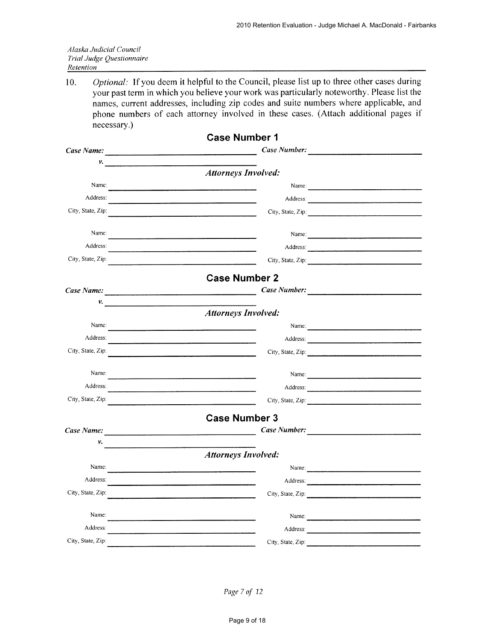|           | Alaska Judicial Council   |
|-----------|---------------------------|
|           | Trial Judge Questionnaire |
| Retention |                           |

Optional: If you deem it helpful to the Council, please list up to three other cases during  $10.$ your past term in which you believe your work was particularly noteworthy. Please list the names, current addresses, including zip codes and suite numbers where applicable, and phone numbers of each attorney involved in these cases. (Attach additional pages if necessary.)

|                                                                                                                                                                                                                                         | <b>Case Number 1</b>                                                                                                                                                                                                                                                                       |  |
|-----------------------------------------------------------------------------------------------------------------------------------------------------------------------------------------------------------------------------------------|--------------------------------------------------------------------------------------------------------------------------------------------------------------------------------------------------------------------------------------------------------------------------------------------|--|
|                                                                                                                                                                                                                                         | Case Number:                                                                                                                                                                                                                                                                               |  |
| ν.<br>$\frac{1}{2}$ . The continuum continuum continuum continuum continuum continuum continuum continuum continuum continuum continuum continuum continuum continuum continuum continuum continuum continuum continuum continuum conti |                                                                                                                                                                                                                                                                                            |  |
|                                                                                                                                                                                                                                         | <b>Attorneys Involved:</b>                                                                                                                                                                                                                                                                 |  |
| Name:                                                                                                                                                                                                                                   | Name:                                                                                                                                                                                                                                                                                      |  |
| Address:                                                                                                                                                                                                                                |                                                                                                                                                                                                                                                                                            |  |
| City, State, Zip:                                                                                                                                                                                                                       | City, State, Zip:<br><u> 1980 - Jan Samuel Barbara, martin d</u> e la partide de la partide de la partide de la partide de la partide de la                                                                                                                                                |  |
| Name:                                                                                                                                                                                                                                   | Name:                                                                                                                                                                                                                                                                                      |  |
| Address:                                                                                                                                                                                                                                |                                                                                                                                                                                                                                                                                            |  |
| City, State, Zip:                                                                                                                                                                                                                       | City, State, Zip:                                                                                                                                                                                                                                                                          |  |
|                                                                                                                                                                                                                                         | <b>Case Number 2</b>                                                                                                                                                                                                                                                                       |  |
| Case Name:                                                                                                                                                                                                                              |                                                                                                                                                                                                                                                                                            |  |
| $\mathcal{V}$ , which is a subsequently defined as $\mathcal{V}$                                                                                                                                                                        |                                                                                                                                                                                                                                                                                            |  |
|                                                                                                                                                                                                                                         | <b>Attorneys Involved:</b>                                                                                                                                                                                                                                                                 |  |
| Name:                                                                                                                                                                                                                                   |                                                                                                                                                                                                                                                                                            |  |
| Address:                                                                                                                                                                                                                                |                                                                                                                                                                                                                                                                                            |  |
| City, State, Zip:                                                                                                                                                                                                                       | City, State, Zip:                                                                                                                                                                                                                                                                          |  |
| Name:                                                                                                                                                                                                                                   | Name:                                                                                                                                                                                                                                                                                      |  |
| Address:                                                                                                                                                                                                                                | Address:                                                                                                                                                                                                                                                                                   |  |
| City, State, Zip:                                                                                                                                                                                                                       | City, State, Zip: $\frac{1}{2}$ and $\frac{1}{2}$ and $\frac{1}{2}$ and $\frac{1}{2}$ and $\frac{1}{2}$ and $\frac{1}{2}$ and $\frac{1}{2}$ and $\frac{1}{2}$ and $\frac{1}{2}$ and $\frac{1}{2}$ and $\frac{1}{2}$ and $\frac{1}{2}$ and $\frac{1}{2}$ and $\frac{1}{2}$ and $\frac{1}{2$ |  |
|                                                                                                                                                                                                                                         | <b>Case Number 3</b>                                                                                                                                                                                                                                                                       |  |
| Case Name:                                                                                                                                                                                                                              | Case Number:                                                                                                                                                                                                                                                                               |  |
| ν.                                                                                                                                                                                                                                      |                                                                                                                                                                                                                                                                                            |  |
|                                                                                                                                                                                                                                         | <b>Attorneys Involved:</b>                                                                                                                                                                                                                                                                 |  |
| Name:                                                                                                                                                                                                                                   | Name:                                                                                                                                                                                                                                                                                      |  |
| Address:                                                                                                                                                                                                                                | Address:                                                                                                                                                                                                                                                                                   |  |
| City, State, Zip:                                                                                                                                                                                                                       |                                                                                                                                                                                                                                                                                            |  |
| Name:                                                                                                                                                                                                                                   |                                                                                                                                                                                                                                                                                            |  |
| Address:                                                                                                                                                                                                                                |                                                                                                                                                                                                                                                                                            |  |
| City, State, Zip:                                                                                                                                                                                                                       | City, State, Zip:                                                                                                                                                                                                                                                                          |  |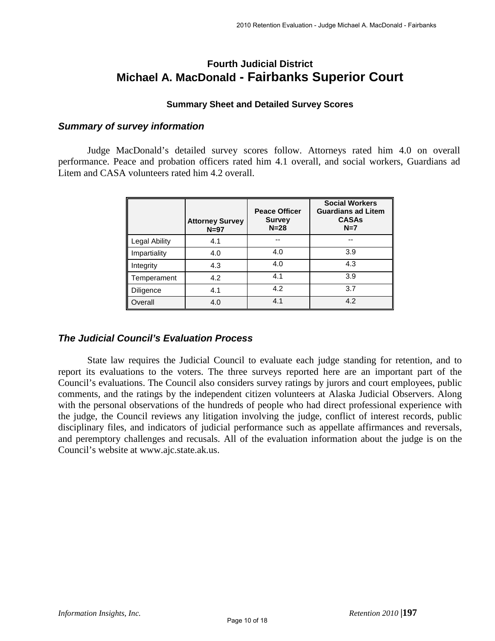# **Fourth Judicial District Michael A. MacDonald - Fairbanks Superior Court**

### **Summary Sheet and Detailed Survey Scores**

### *Summary of survey information*

Judge MacDonald's detailed survey scores follow. Attorneys rated him 4.0 on overall performance. Peace and probation officers rated him 4.1 overall, and social workers, Guardians ad Litem and CASA volunteers rated him 4.2 overall.

|               | <b>Attorney Survey</b><br>$N=97$ | <b>Peace Officer</b><br><b>Survey</b><br>$N = 28$ | <b>Social Workers</b><br><b>Guardians ad Litem</b><br><b>CASAs</b><br>$N=7$ |
|---------------|----------------------------------|---------------------------------------------------|-----------------------------------------------------------------------------|
| Legal Ability | 4.1                              | $-$                                               | --                                                                          |
| Impartiality  | 4.0                              | 4.0                                               | 3.9                                                                         |
| Integrity     | 4.3                              | 4.0                                               | 4.3                                                                         |
| Temperament   | 4.2                              | 4.1                                               | 3.9                                                                         |
| Diligence     | 4.1                              | 4.2                                               | 3.7                                                                         |
| Overall       | 4.0                              | 4.1                                               | 4.2                                                                         |

### *The Judicial Council's Evaluation Process*

State law requires the Judicial Council to evaluate each judge standing for retention, and to report its evaluations to the voters. The three surveys reported here are an important part of the Council's evaluations. The Council also considers survey ratings by jurors and court employees, public comments, and the ratings by the independent citizen volunteers at Alaska Judicial Observers. Along with the personal observations of the hundreds of people who had direct professional experience with the judge, the Council reviews any litigation involving the judge, conflict of interest records, public disciplinary files, and indicators of judicial performance such as appellate affirmances and reversals, and peremptory challenges and recusals. All of the evaluation information about the judge is on the Council's website at www.ajc.state.ak.us.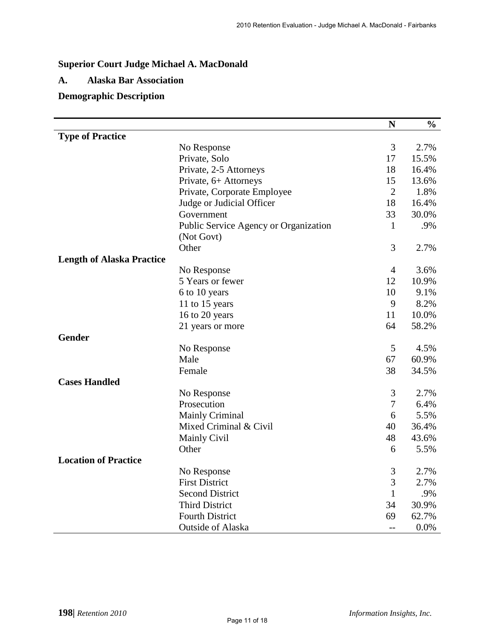# **Superior Court Judge Michael A. MacDonald**

### **A. Alaska Bar Association**

### **Demographic Description**

|                                  |                                       | $\mathbf N$    | $\frac{0}{0}$ |
|----------------------------------|---------------------------------------|----------------|---------------|
| <b>Type of Practice</b>          |                                       |                |               |
|                                  | No Response                           | 3              | 2.7%          |
|                                  | Private, Solo                         | 17             | 15.5%         |
|                                  | Private, 2-5 Attorneys                | 18             | 16.4%         |
|                                  | Private, 6+ Attorneys                 | 15             | 13.6%         |
|                                  | Private, Corporate Employee           | $\overline{2}$ | 1.8%          |
|                                  | Judge or Judicial Officer             | 18             | 16.4%         |
|                                  | Government                            | 33             | 30.0%         |
|                                  | Public Service Agency or Organization | $\mathbf{1}$   | .9%           |
|                                  | (Not Govt)                            |                |               |
|                                  | Other                                 | 3              | 2.7%          |
| <b>Length of Alaska Practice</b> |                                       |                |               |
|                                  | No Response                           | $\overline{4}$ | 3.6%          |
|                                  | 5 Years or fewer                      | 12             | 10.9%         |
|                                  | 6 to 10 years                         | 10             | 9.1%          |
|                                  | 11 to 15 years                        | 9              | 8.2%          |
|                                  | 16 to 20 years                        | 11             | 10.0%         |
|                                  | 21 years or more                      | 64             | 58.2%         |
| <b>Gender</b>                    |                                       |                |               |
|                                  | No Response                           | 5              | 4.5%          |
|                                  | Male                                  | 67             | 60.9%         |
|                                  | Female                                | 38             | 34.5%         |
| <b>Cases Handled</b>             |                                       |                |               |
|                                  | No Response                           | 3              | 2.7%          |
|                                  | Prosecution                           | $\overline{7}$ | 6.4%          |
|                                  | <b>Mainly Criminal</b>                | 6              | 5.5%          |
|                                  | Mixed Criminal & Civil                | 40             | 36.4%         |
|                                  | <b>Mainly Civil</b>                   | 48             | 43.6%         |
|                                  | Other                                 | 6              | 5.5%          |
| <b>Location of Practice</b>      |                                       |                |               |
|                                  | No Response                           | 3              | 2.7%          |
|                                  | <b>First District</b>                 | 3              | 2.7%          |
|                                  | <b>Second District</b>                | $\mathbf{1}$   | .9%           |
|                                  | <b>Third District</b>                 | 34             | 30.9%         |
|                                  | <b>Fourth District</b>                | 69             | 62.7%         |
|                                  | <b>Outside of Alaska</b>              | $-$            | 0.0%          |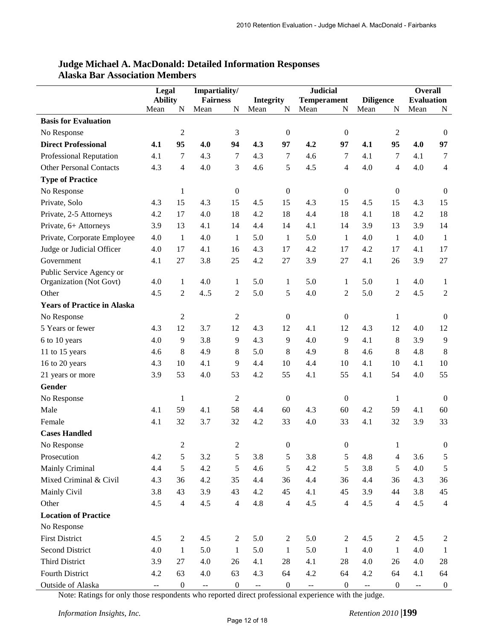|                                    | Legal                                         |                         | Impartiality/   |                  |                          |                  | <b>Judicial</b>    |                  |                                               |                  | <b>Overall</b>                                |                  |
|------------------------------------|-----------------------------------------------|-------------------------|-----------------|------------------|--------------------------|------------------|--------------------|------------------|-----------------------------------------------|------------------|-----------------------------------------------|------------------|
|                                    | <b>Ability</b>                                |                         | <b>Fairness</b> |                  | <b>Integrity</b>         |                  | <b>Temperament</b> |                  | <b>Diligence</b>                              |                  | <b>Evaluation</b>                             |                  |
|                                    | Mean                                          | N                       | Mean            | N                | Mean                     | N                | Mean               | N                | Mean                                          | N                | Mean                                          | N                |
| <b>Basis for Evaluation</b>        |                                               |                         |                 |                  |                          |                  |                    |                  |                                               |                  |                                               |                  |
| No Response                        |                                               | $\overline{c}$          |                 | 3                |                          | $\boldsymbol{0}$ |                    | $\boldsymbol{0}$ |                                               | $\overline{c}$   |                                               | $\mathbf{0}$     |
| <b>Direct Professional</b>         | 4.1                                           | 95                      | 4.0             | 94               | 4.3                      | 97               | 4.2                | 97               | 4.1                                           | 95               | 4.0                                           | 97               |
| <b>Professional Reputation</b>     | 4.1                                           | 7                       | 4.3             | 7                | 4.3                      | 7                | 4.6                | 7                | 4.1                                           | 7                | 4.1                                           | 7                |
| <b>Other Personal Contacts</b>     | 4.3                                           | 4                       | 4.0             | 3                | 4.6                      | 5                | 4.5                | $\overline{4}$   | 4.0                                           | 4                | 4.0                                           | $\overline{4}$   |
| <b>Type of Practice</b>            |                                               |                         |                 |                  |                          |                  |                    |                  |                                               |                  |                                               |                  |
| No Response                        |                                               | $\mathbf{1}$            |                 | $\boldsymbol{0}$ |                          | $\boldsymbol{0}$ |                    | $\boldsymbol{0}$ |                                               | $\overline{0}$   |                                               | $\mathbf{0}$     |
| Private, Solo                      | 4.3                                           | 15                      | 4.3             | 15               | 4.5                      | 15               | 4.3                | 15               | 4.5                                           | 15               | 4.3                                           | 15               |
| Private, 2-5 Attorneys             | 4.2                                           | 17                      | 4.0             | 18               | 4.2                      | 18               | 4.4                | 18               | 4.1                                           | 18               | 4.2                                           | 18               |
| Private, 6+ Attorneys              | 3.9                                           | 13                      | 4.1             | 14               | 4.4                      | 14               | 4.1                | 14               | 3.9                                           | 13               | 3.9                                           | 14               |
| Private, Corporate Employee        | 4.0                                           | $\mathbf{1}$            | 4.0             | $\mathbf{1}$     | 5.0                      | $\mathbf{1}$     | 5.0                | 1                | 4.0                                           | 1                | 4.0                                           | $\mathbf{1}$     |
| Judge or Judicial Officer          | 4.0                                           | 17                      | 4.1             | 16               | 4.3                      | 17               | 4.2                | 17               | 4.2                                           | 17               | 4.1                                           | 17               |
| Government                         | 4.1                                           | 27                      | 3.8             | 25               | 4.2                      | 27               | 3.9                | 27               | 4.1                                           | 26               | 3.9                                           | 27               |
| Public Service Agency or           |                                               |                         |                 |                  |                          |                  |                    |                  |                                               |                  |                                               |                  |
| Organization (Not Govt)            | 4.0                                           | $\mathbf{1}$            | 4.0             | 1                | 5.0                      | 1                | 5.0                | 1                | 5.0                                           | $\mathbf{1}$     | 4.0                                           | $\mathbf{1}$     |
| Other                              | 4.5                                           | $\overline{c}$          | 4.5             | 2                | 5.0                      | 5                | 4.0                | $\overline{c}$   | 5.0                                           | 2                | 4.5                                           | $\overline{2}$   |
| <b>Years of Practice in Alaska</b> |                                               |                         |                 |                  |                          |                  |                    |                  |                                               |                  |                                               |                  |
| No Response                        |                                               | $\overline{c}$          |                 | $\mathbf{2}$     |                          | $\boldsymbol{0}$ |                    | $\boldsymbol{0}$ |                                               | 1                |                                               | $\mathbf{0}$     |
| 5 Years or fewer                   | 4.3                                           | 12                      | 3.7             | 12               | 4.3                      | 12               | 4.1                | 12               | 4.3                                           | 12               | 4.0                                           | 12               |
| 6 to 10 years                      | 4.0                                           | 9                       | 3.8             | $\overline{9}$   | 4.3                      | 9                | 4.0                | 9                | 4.1                                           | 8                | 3.9                                           | 9                |
| 11 to 15 years                     | 4.6                                           | 8                       | 4.9             | 8                | 5.0                      | 8                | 4.9                | 8                | 4.6                                           | 8                | 4.8                                           | $8\,$            |
| 16 to 20 years                     | 4.3                                           | 10                      | 4.1             | 9                | 4.4                      | 10               | 4.4                | 10               | 4.1                                           | 10               | 4.1                                           | 10               |
| 21 years or more                   | 3.9                                           | 53                      | 4.0             | 53               | 4.2                      | 55               | 4.1                | 55               | 4.1                                           | 54               | 4.0                                           | 55               |
| Gender                             |                                               |                         |                 |                  |                          |                  |                    |                  |                                               |                  |                                               |                  |
| No Response                        |                                               | $\mathbf{1}$            |                 | $\mathfrak{2}$   |                          | $\boldsymbol{0}$ |                    | $\boldsymbol{0}$ |                                               | 1                |                                               | $\mathbf{0}$     |
| Male                               | 4.1                                           | 59                      | 4.1             | 58               | 4.4                      | 60               | 4.3                | 60               | 4.2                                           | 59               | 4.1                                           | 60               |
| Female                             | 4.1                                           | 32                      | 3.7             | 32               | 4.2                      | 33               | 4.0                | 33               | 4.1                                           | 32               | 3.9                                           | 33               |
| <b>Cases Handled</b>               |                                               |                         |                 |                  |                          |                  |                    |                  |                                               |                  |                                               |                  |
| No Response                        |                                               | 2                       |                 | $\overline{c}$   |                          | $\boldsymbol{0}$ |                    | $\boldsymbol{0}$ |                                               |                  |                                               | $\boldsymbol{0}$ |
| Prosecution                        | 4.2                                           | 5                       | 3.2             | 5                | 3.8                      | 5                | 3.8                | 5                | 4.8                                           | $\overline{4}$   | 3.6                                           | $\sqrt{5}$       |
| Mainly Criminal                    | 4.4                                           | 5                       | 4.2             | 5                | 4.6                      | 5                | 4.2                | 5                | 3.8                                           | 5                | 4.0                                           | $\sqrt{5}$       |
| Mixed Criminal & Civil             | 4.3                                           | 36                      | 4.2             | 35               | 4.4                      | 36               | 4.4                | 36               | 4.4                                           | 36               | 4.3                                           | 36               |
| Mainly Civil                       | 3.8                                           | 43                      | 3.9             | 43               | 4.2                      | 45               | 4.1                | 45               | 3.9                                           | 44               | 3.8                                           | 45               |
| Other                              | 4.5                                           | $\overline{\mathbf{4}}$ | 4.5             | $\overline{4}$   | 4.8                      | $\overline{4}$   | 4.5                | $\overline{4}$   | 4.5                                           | $\overline{4}$   | 4.5                                           | $\overline{4}$   |
| <b>Location of Practice</b>        |                                               |                         |                 |                  |                          |                  |                    |                  |                                               |                  |                                               |                  |
| No Response                        |                                               |                         |                 |                  |                          |                  |                    |                  |                                               |                  |                                               |                  |
| <b>First District</b>              | 4.5                                           | $\overline{2}$          | 4.5             | $\boldsymbol{2}$ | 5.0                      | $\overline{2}$   | 5.0                | $\boldsymbol{2}$ | 4.5                                           | 2                | 4.5                                           | 2                |
| <b>Second District</b>             | 4.0                                           | $\mathbf{1}$            | 5.0             | $\mathbf{1}$     | 5.0                      | 1                | 5.0                | $\mathbf{1}$     | 4.0                                           | $\mathbf{1}$     | 4.0                                           | -1               |
| Third District                     | 3.9                                           | $27\,$                  | 4.0             | 26               | 4.1                      | $28\,$           | 4.1                | 28               | 4.0                                           | 26               | 4.0                                           | 28               |
| Fourth District                    | 4.2                                           | 63                      | 4.0             | 63               | 4.3                      | 64               | 4.2                | 64               | 4.2                                           | 64               | 4.1                                           | 64               |
| Outside of Alaska                  | $\mathord{\hspace{1pt}\text{--}\hspace{1pt}}$ | $\boldsymbol{0}$        | --              | $\boldsymbol{0}$ | $\overline{\phantom{a}}$ | $\boldsymbol{0}$ | 44                 | $\boldsymbol{0}$ | $\mathord{\hspace{1pt}\text{--}\hspace{1pt}}$ | $\boldsymbol{0}$ | $\mathord{\hspace{1pt}\text{--}\hspace{1pt}}$ | $\boldsymbol{0}$ |

### **Judge Michael A. MacDonald: Detailed Information Responses Alaska Bar Association Members**

Note: Ratings for only those respondents who reported direct professional experience with the judge.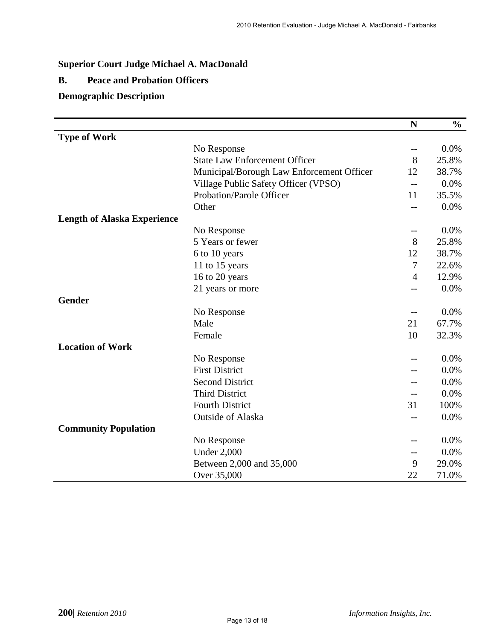# **Superior Court Judge Michael A. MacDonald**

### **B. Peace and Probation Officers**

### **Demographic Description**

|                                    |                                           | N                 | $\frac{6}{6}$ |
|------------------------------------|-------------------------------------------|-------------------|---------------|
| <b>Type of Work</b>                |                                           |                   |               |
|                                    | No Response                               | $\qquad \qquad -$ | 0.0%          |
|                                    | <b>State Law Enforcement Officer</b>      | 8                 | 25.8%         |
|                                    | Municipal/Borough Law Enforcement Officer | 12                | 38.7%         |
|                                    | Village Public Safety Officer (VPSO)      | $-$               | 0.0%          |
|                                    | <b>Probation/Parole Officer</b>           | 11                | 35.5%         |
|                                    | Other                                     | $-$               | 0.0%          |
| <b>Length of Alaska Experience</b> |                                           |                   |               |
|                                    | No Response                               | $-$               | 0.0%          |
|                                    | 5 Years or fewer                          | 8                 | 25.8%         |
|                                    | 6 to 10 years                             | 12                | 38.7%         |
|                                    | 11 to 15 years                            | 7                 | 22.6%         |
|                                    | 16 to 20 years                            | $\overline{4}$    | 12.9%         |
|                                    | 21 years or more                          | --                | 0.0%          |
| <b>Gender</b>                      |                                           |                   |               |
|                                    | No Response                               | $\qquad \qquad -$ | 0.0%          |
|                                    | Male                                      | 21                | 67.7%         |
|                                    | Female                                    | 10                | 32.3%         |
| <b>Location of Work</b>            |                                           |                   |               |
|                                    | No Response                               |                   | 0.0%          |
|                                    | <b>First District</b>                     |                   | 0.0%          |
|                                    | <b>Second District</b>                    |                   | 0.0%          |
|                                    | <b>Third District</b>                     |                   | 0.0%          |
|                                    | <b>Fourth District</b>                    | 31                | 100%          |
|                                    | <b>Outside of Alaska</b>                  | --                | 0.0%          |
| <b>Community Population</b>        |                                           |                   |               |
|                                    | No Response                               | $- -$             | 0.0%          |
|                                    | <b>Under 2,000</b>                        | --                | 0.0%          |
|                                    | Between 2,000 and 35,000                  | 9                 | 29.0%         |
|                                    | Over 35,000                               | 22                | 71.0%         |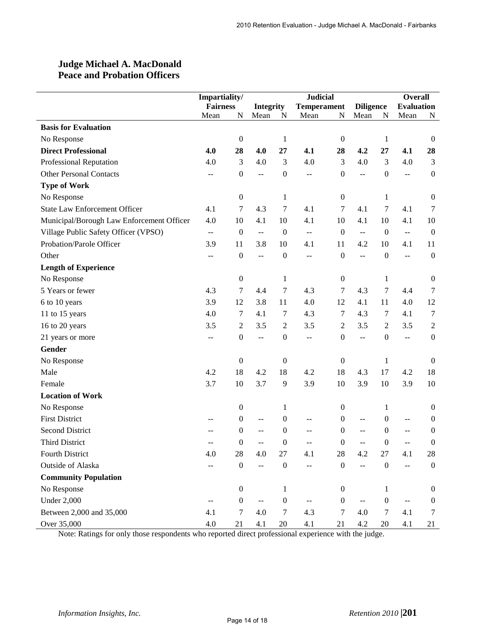### **Judge Michael A. MacDonald Peace and Probation Officers**

|                                           | Impartiality/   |                  |                           |                  | <b>Judicial</b>    |                  |                                               |                   | <b>Overall</b> |                  |
|-------------------------------------------|-----------------|------------------|---------------------------|------------------|--------------------|------------------|-----------------------------------------------|-------------------|----------------|------------------|
|                                           | <b>Fairness</b> |                  | <b>Integrity</b>          |                  | <b>Temperament</b> | <b>Diligence</b> |                                               | <b>Evaluation</b> |                |                  |
|                                           | Mean            | N                | Mean                      | N                | Mean               | ${\bf N}$        | Mean                                          | ${\bf N}$         | Mean           | N                |
| <b>Basis for Evaluation</b>               |                 |                  |                           |                  |                    |                  |                                               |                   |                |                  |
| No Response                               |                 | $\boldsymbol{0}$ |                           | 1                |                    | $\boldsymbol{0}$ |                                               | $\mathbf{1}$      |                | $\mathbf{0}$     |
| <b>Direct Professional</b>                | 4.0             | 28               | 4.0                       | 27               | 4.1                | 28               | 4.2                                           | 27                | 4.1            | 28               |
| Professional Reputation                   | 4.0             | 3                | 4.0                       | 3                | 4.0                | 3                | 4.0                                           | $\mathfrak{Z}$    | 4.0            | 3                |
| <b>Other Personal Contacts</b>            | $\overline{a}$  | $\boldsymbol{0}$ | $\overline{a}$            | $\boldsymbol{0}$ | $\overline{a}$     | $\boldsymbol{0}$ | $\overline{a}$                                | $\boldsymbol{0}$  | $\overline{a}$ | $\boldsymbol{0}$ |
| <b>Type of Work</b>                       |                 |                  |                           |                  |                    |                  |                                               |                   |                |                  |
| No Response                               |                 | $\boldsymbol{0}$ |                           | 1                |                    | $\boldsymbol{0}$ |                                               | 1                 |                | $\boldsymbol{0}$ |
| <b>State Law Enforcement Officer</b>      | 4.1             | $\tau$           | 4.3                       | $\tau$           | 4.1                | $\tau$           | 4.1                                           | $\tau$            | 4.1            | 7                |
| Municipal/Borough Law Enforcement Officer | 4.0             | 10               | 4.1                       | 10               | 4.1                | 10               | 4.1                                           | 10                | 4.1            | 10               |
| Village Public Safety Officer (VPSO)      | $\overline{a}$  | $\boldsymbol{0}$ | $\mathbb{L}^2$            | $\boldsymbol{0}$ | $\pm$ $\pm$        | $\boldsymbol{0}$ | $\mathbb{L}^{\mathbb{L}}$                     | $\boldsymbol{0}$  | $\mathbb{L}^2$ | $\boldsymbol{0}$ |
| Probation/Parole Officer                  | 3.9             | 11               | 3.8                       | 10               | 4.1                | 11               | 4.2                                           | 10                | 4.1            | 11               |
| Other                                     | $-$             | $\boldsymbol{0}$ | $\sim$                    | $\boldsymbol{0}$ | $-$                | $\boldsymbol{0}$ | $\mathord{\hspace{1pt}\text{--}\hspace{1pt}}$ | $\boldsymbol{0}$  | $\overline{a}$ | $\boldsymbol{0}$ |
| <b>Length of Experience</b>               |                 |                  |                           |                  |                    |                  |                                               |                   |                |                  |
| No Response                               |                 | $\boldsymbol{0}$ |                           | 1                |                    | $\boldsymbol{0}$ |                                               | 1                 |                | $\boldsymbol{0}$ |
| 5 Years or fewer                          | 4.3             | 7                | 4.4                       | $\boldsymbol{7}$ | 4.3                | 7                | 4.3                                           | $\tau$            | 4.4            | 7                |
| 6 to 10 years                             | 3.9             | 12               | 3.8                       | 11               | 4.0                | 12               | 4.1                                           | 11                | 4.0            | 12               |
| 11 to 15 years                            | 4.0             | 7                | 4.1                       | 7                | 4.3                | 7                | 4.3                                           | 7                 | 4.1            | 7                |
| 16 to 20 years                            | 3.5             | $\overline{c}$   | 3.5                       | $\sqrt{2}$       | 3.5                | $\boldsymbol{2}$ | 3.5                                           | $\overline{2}$    | 3.5            | $\mathfrak{2}$   |
| 21 years or more                          | $-$             | $\boldsymbol{0}$ | $\mathbb{L} \mathbb{L}$   | $\boldsymbol{0}$ | $-$                | $\boldsymbol{0}$ | $\overline{a}$                                | $\boldsymbol{0}$  | $\mathbf{u}$   | $\mathbf{0}$     |
| Gender                                    |                 |                  |                           |                  |                    |                  |                                               |                   |                |                  |
| No Response                               |                 | $\boldsymbol{0}$ |                           | $\boldsymbol{0}$ |                    | $\boldsymbol{0}$ |                                               | 1                 |                | $\boldsymbol{0}$ |
| Male                                      | 4.2             | 18               | 4.2                       | 18               | 4.2                | 18               | 4.3                                           | 17                | 4.2            | 18               |
| Female                                    | 3.7             | 10               | 3.7                       | 9                | 3.9                | 10               | 3.9                                           | 10                | 3.9            | 10               |
| <b>Location of Work</b>                   |                 |                  |                           |                  |                    |                  |                                               |                   |                |                  |
| No Response                               |                 | $\boldsymbol{0}$ |                           | 1                |                    | $\boldsymbol{0}$ |                                               | 1                 |                | $\boldsymbol{0}$ |
| <b>First District</b>                     |                 | $\boldsymbol{0}$ | $\overline{a}$            | $\boldsymbol{0}$ | $-$                | $\boldsymbol{0}$ | $\overline{a}$                                | $\mathbf{0}$      | $-$            | $\boldsymbol{0}$ |
| <b>Second District</b>                    | $-$             | $\boldsymbol{0}$ | --                        | $\boldsymbol{0}$ | --                 | $\boldsymbol{0}$ | $-$                                           | $\mathbf{0}$      | $-$            | $\boldsymbol{0}$ |
| <b>Third District</b>                     |                 | $\boldsymbol{0}$ |                           | $\boldsymbol{0}$ | $-$                | $\boldsymbol{0}$ | $-$                                           | $\boldsymbol{0}$  |                | $\boldsymbol{0}$ |
| Fourth District                           | 4.0             | $28\,$           | 4.0                       | 27               | 4.1                | 28               | 4.2                                           | 27                | 4.1            | 28               |
| Outside of Alaska                         | $-$             | $\boldsymbol{0}$ | $\mathbb{L}^{\mathbb{L}}$ | $\boldsymbol{0}$ | --                 | $\boldsymbol{0}$ | 44                                            | $\boldsymbol{0}$  | $\overline{a}$ | $\boldsymbol{0}$ |
| <b>Community Population</b>               |                 |                  |                           |                  |                    |                  |                                               |                   |                |                  |
| No Response                               |                 | $\boldsymbol{0}$ |                           | $\mathbf{1}$     |                    | $\boldsymbol{0}$ |                                               | 1                 |                | $\overline{0}$   |
| <b>Under 2,000</b>                        |                 | $\boldsymbol{0}$ | $-$                       | $\boldsymbol{0}$ |                    | $\boldsymbol{0}$ | $- -$                                         | $\boldsymbol{0}$  |                | $\boldsymbol{0}$ |
| Between 2,000 and 35,000                  | 4.1             | 7                | 4.0                       | $\boldsymbol{7}$ | 4.3                | $\tau$           | 4.0                                           | $\tau$            | 4.1            | 7                |
| Over 35,000                               | 4.0             | 21               | 4.1                       | 20               | 4.1                | $21\,$           | 4.2                                           | $20\,$            | 4.1            | 21               |

Note: Ratings for only those respondents who reported direct professional experience with the judge.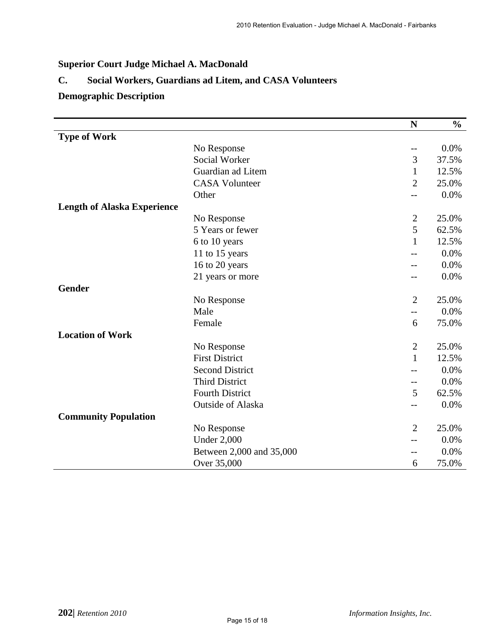# **Superior Court Judge Michael A. MacDonald**

# **C. Social Workers, Guardians ad Litem, and CASA Volunteers**

# **Demographic Description**

|                                    |                          | ${\bf N}$         | $\frac{0}{0}$ |
|------------------------------------|--------------------------|-------------------|---------------|
| <b>Type of Work</b>                |                          |                   |               |
|                                    | No Response              | $\qquad \qquad -$ | 0.0%          |
|                                    | Social Worker            | 3                 | 37.5%         |
|                                    | Guardian ad Litem        | $\mathbf{1}$      | 12.5%         |
|                                    | <b>CASA Volunteer</b>    | $\overline{2}$    | 25.0%         |
|                                    | Other                    | $-$               | 0.0%          |
| <b>Length of Alaska Experience</b> |                          |                   |               |
|                                    | No Response              | $\mathbf{2}$      | 25.0%         |
|                                    | 5 Years or fewer         | 5                 | 62.5%         |
|                                    | 6 to 10 years            | $\mathbf{1}$      | 12.5%         |
|                                    | 11 to 15 years           |                   | 0.0%          |
|                                    | 16 to 20 years           |                   | 0.0%          |
|                                    | 21 years or more         | --                | 0.0%          |
| Gender                             |                          |                   |               |
|                                    | No Response              | $\overline{2}$    | 25.0%         |
|                                    | Male                     | $-$               | 0.0%          |
|                                    | Female                   | 6                 | 75.0%         |
| <b>Location of Work</b>            |                          |                   |               |
|                                    | No Response              | $\overline{2}$    | 25.0%         |
|                                    | <b>First District</b>    | 1                 | 12.5%         |
|                                    | <b>Second District</b>   |                   | 0.0%          |
|                                    | <b>Third District</b>    | $\qquad \qquad -$ | 0.0%          |
|                                    | <b>Fourth District</b>   | 5                 | 62.5%         |
|                                    | <b>Outside of Alaska</b> | $-$               | 0.0%          |
| <b>Community Population</b>        |                          |                   |               |
|                                    | No Response              | $\overline{2}$    | 25.0%         |
|                                    | <b>Under 2,000</b>       | $-$               | 0.0%          |
|                                    | Between 2,000 and 35,000 | --                | 0.0%          |
|                                    | Over 35,000              | 6                 | 75.0%         |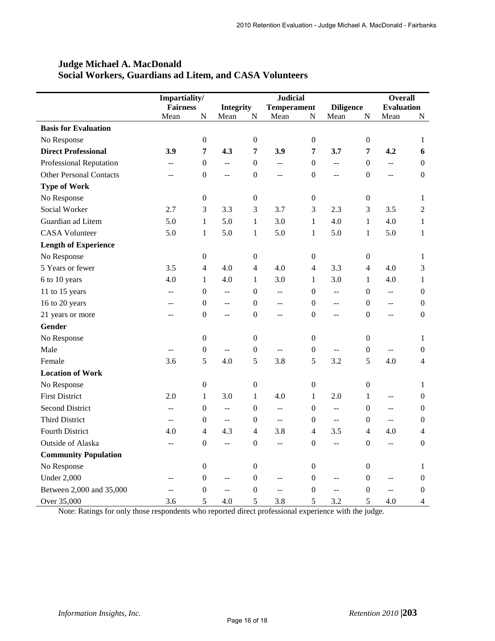|                                | Impartiality/   |                  |                  | <b>Judicial</b>  |                          |                  |                          | <b>Overall</b>   |                                               |                  |
|--------------------------------|-----------------|------------------|------------------|------------------|--------------------------|------------------|--------------------------|------------------|-----------------------------------------------|------------------|
|                                | <b>Fairness</b> |                  | <b>Integrity</b> |                  | <b>Temperament</b>       |                  | <b>Diligence</b>         |                  | <b>Evaluation</b>                             |                  |
|                                | Mean            | N                | Mean             | ${\bf N}$        | Mean                     | $\mathbf N$      | Mean                     | ${\bf N}$        | Mean                                          | N                |
| <b>Basis for Evaluation</b>    |                 |                  |                  |                  |                          |                  |                          |                  |                                               |                  |
| No Response                    |                 | $\boldsymbol{0}$ |                  | $\boldsymbol{0}$ |                          | $\boldsymbol{0}$ |                          | $\boldsymbol{0}$ |                                               | 1                |
| <b>Direct Professional</b>     | 3.9             | 7                | 4.3              | 7                | 3.9                      | 7                | 3.7                      | 7                | 4.2                                           | 6                |
| <b>Professional Reputation</b> | $\overline{a}$  | $\boldsymbol{0}$ | u.               | $\mathbf{0}$     | $\overline{a}$           | $\mathbf{0}$     | Ξ.                       | $\boldsymbol{0}$ | $\overline{a}$                                | $\overline{0}$   |
| <b>Other Personal Contacts</b> | --              | $\boldsymbol{0}$ | $\overline{a}$   | $\boldsymbol{0}$ | $\overline{a}$           | $\boldsymbol{0}$ | $\overline{a}$           | $\theta$         | $\overline{a}$                                | $\boldsymbol{0}$ |
| <b>Type of Work</b>            |                 |                  |                  |                  |                          |                  |                          |                  |                                               |                  |
| No Response                    |                 | $\boldsymbol{0}$ |                  | $\boldsymbol{0}$ |                          | $\boldsymbol{0}$ |                          | $\boldsymbol{0}$ |                                               | 1                |
| Social Worker                  | 2.7             | 3                | 3.3              | 3                | 3.7                      | 3                | 2.3                      | 3                | 3.5                                           | $\overline{2}$   |
| Guardian ad Litem              | 5.0             | $\mathbf{1}$     | 5.0              | $\mathbf{1}$     | 3.0                      | $\mathbf{1}$     | 4.0                      | $\mathbf{1}$     | 4.0                                           | $\mathbf{1}$     |
| <b>CASA Volunteer</b>          | 5.0             | $\mathbf{1}$     | 5.0              | $\mathbf{1}$     | 5.0                      | $\mathbf{1}$     | 5.0                      | 1                | 5.0                                           | $\mathbf{1}$     |
| <b>Length of Experience</b>    |                 |                  |                  |                  |                          |                  |                          |                  |                                               |                  |
| No Response                    |                 | $\boldsymbol{0}$ |                  | $\boldsymbol{0}$ |                          | $\boldsymbol{0}$ |                          | $\mathbf{0}$     |                                               | 1                |
| 5 Years or fewer               | 3.5             | $\overline{4}$   | 4.0              | $\overline{4}$   | 4.0                      | $\overline{4}$   | 3.3                      | $\overline{4}$   | 4.0                                           | 3                |
| 6 to 10 years                  | 4.0             | $\mathbf{1}$     | 4.0              | $\mathbf{1}$     | 3.0                      | $\mathbf{1}$     | 3.0                      | $\mathbf{1}$     | 4.0                                           | $\mathbf{1}$     |
| 11 to 15 years                 | $-$             | $\boldsymbol{0}$ | $\overline{a}$   | $\boldsymbol{0}$ | $-$                      | $\boldsymbol{0}$ | $- -$                    | $\boldsymbol{0}$ | $\pm$ $\pm$                                   | $\boldsymbol{0}$ |
| 16 to 20 years                 | --              | $\mathbf{0}$     | $-$              | $\theta$         | $\overline{\phantom{a}}$ | $\boldsymbol{0}$ | $\overline{\phantom{a}}$ | $\mathbf{0}$     | $\overline{a}$                                | $\overline{0}$   |
| 21 years or more               | $-$             | $\boldsymbol{0}$ | $-$              | $\boldsymbol{0}$ | $-$                      | $\boldsymbol{0}$ | $-$                      | $\mathbf{0}$     | $\overline{a}$                                | $\boldsymbol{0}$ |
| Gender                         |                 |                  |                  |                  |                          |                  |                          |                  |                                               |                  |
| No Response                    |                 | $\boldsymbol{0}$ |                  | $\boldsymbol{0}$ |                          | $\boldsymbol{0}$ |                          | $\boldsymbol{0}$ |                                               | 1                |
| Male                           | $- -$           | $\boldsymbol{0}$ | $\overline{a}$   | $\overline{0}$   | $-$                      | $\boldsymbol{0}$ | $-$                      | $\mathbf{0}$     | $\mathord{\hspace{1pt}\text{--}\hspace{1pt}}$ | $\overline{0}$   |
| Female                         | 3.6             | 5                | 4.0              | 5                | 3.8                      | 5                | 3.2                      | 5                | 4.0                                           | 4                |
| <b>Location of Work</b>        |                 |                  |                  |                  |                          |                  |                          |                  |                                               |                  |
| No Response                    |                 | $\mathbf{0}$     |                  | $\boldsymbol{0}$ |                          | $\boldsymbol{0}$ |                          | $\boldsymbol{0}$ |                                               | $\mathbf{1}$     |
| <b>First District</b>          | 2.0             | $\mathbf{1}$     | 3.0              | $\mathbf{1}$     | 4.0                      | $\mathbf{1}$     | 2.0                      | $\mathbf{1}$     | $\mathord{\hspace{1pt}\text{--}\hspace{1pt}}$ | $\boldsymbol{0}$ |
| <b>Second District</b>         | $-$             | $\Omega$         | $\overline{a}$   | $\Omega$         | $-$                      | $\boldsymbol{0}$ | $\overline{a}$           | $\overline{0}$   | $\overline{a}$                                | $\theta$         |
| <b>Third District</b>          | $-$             | $\theta$         | $\overline{a}$   | $\theta$         | $\mathbf{u}$             | 0                | $\overline{a}$           | $\theta$         | $\overline{a}$                                | $\theta$         |
| <b>Fourth District</b>         | 4.0             | $\overline{4}$   | 4.3              | $\overline{4}$   | 3.8                      | 4                | 3.5                      | $\overline{4}$   | 4.0                                           | 4                |
| Outside of Alaska              | $\overline{a}$  | $\overline{0}$   | $\overline{a}$   | $\mathbf{0}$     | 44                       | $\boldsymbol{0}$ | 44                       | $\mathbf{0}$     | $\overline{a}$                                | $\boldsymbol{0}$ |
| <b>Community Population</b>    |                 |                  |                  |                  |                          |                  |                          |                  |                                               |                  |
| No Response                    |                 | $\mathbf{0}$     |                  | $\boldsymbol{0}$ |                          | $\boldsymbol{0}$ |                          | $\boldsymbol{0}$ |                                               | 1                |
| <b>Under 2,000</b>             | --              | $\boldsymbol{0}$ | $- -$            | $\boldsymbol{0}$ | $- -$                    | $\boldsymbol{0}$ | $-$                      | $\mathbf{0}$     | --                                            | $\boldsymbol{0}$ |
| Between 2,000 and 35,000       | $\overline{a}$  | $\mathbf{0}$     | $\mathbf{u}$     | $\boldsymbol{0}$ | $-$                      | $\boldsymbol{0}$ | $\overline{a}$           | $\mathbf{0}$     | $\overline{a}$                                | $\theta$         |
| Over 35,000                    | 3.6             | 5                | 4.0              | 5                | 3.8                      | 5                | 3.2                      | 5                | 4.0                                           | 4                |

# **Judge Michael A. MacDonald Social Workers, Guardians ad Litem, and CASA Volunteers**

Note: Ratings for only those respondents who reported direct professional experience with the judge.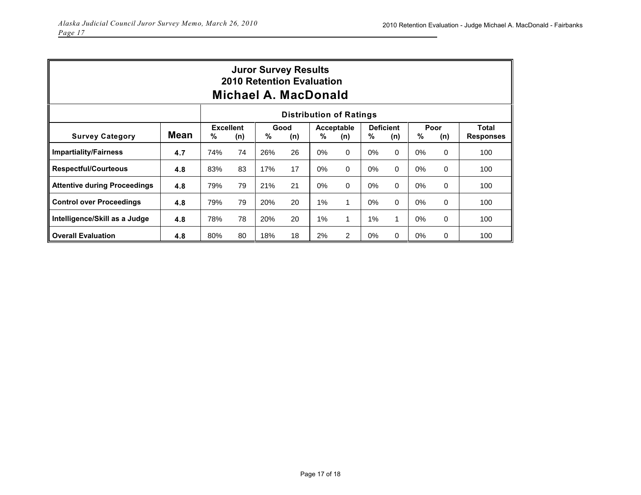| <b>Juror Survey Results</b><br><b>2010 Retention Evaluation</b><br>Michael A. MacDonald |             |     |                         |                  |    |                        |              |                              |              |                  |          |                           |
|-----------------------------------------------------------------------------------------|-------------|-----|-------------------------|------------------|----|------------------------|--------------|------------------------------|--------------|------------------|----------|---------------------------|
| <b>Distribution of Ratings</b>                                                          |             |     |                         |                  |    |                        |              |                              |              |                  |          |                           |
| <b>Survey Category</b>                                                                  | <b>Mean</b> | %   | <b>Excellent</b><br>(n) | Good<br>%<br>(n) |    | Acceptable<br>%<br>(n) |              | <b>Deficient</b><br>%<br>(n) |              | Poor<br>%<br>(n) |          | Total<br><b>Responses</b> |
| <b>Impartiality/Fairness</b>                                                            | 4.7         | 74% | 74                      | 26%              | 26 | $0\%$                  | $\Omega$     | $0\%$                        | 0            | 0%               | 0        | 100                       |
| <b>Respectful/Courteous</b>                                                             | 4.8         | 83% | 83                      | 17%              | 17 | 0%                     | $\Omega$     | $0\%$                        | $\Omega$     | 0%               | 0        | 100                       |
| <b>Attentive during Proceedings</b>                                                     | 4.8         | 79% | 79                      | 21%              | 21 | $0\%$                  | $\mathbf 0$  | $0\%$                        | $\Omega$     | 0%               | 0        | 100                       |
| <b>Control over Proceedings</b>                                                         | 4.8         | 79% | 79                      | 20%              | 20 | $1\%$                  | $\mathbf{1}$ | $0\%$                        | $\Omega$     | 0%               | 0        | 100                       |
| Intelligence/Skill as a Judge                                                           | 4.8         | 78% | 78                      | 20%              | 20 | 1%                     | 1            | 1%                           | $\mathbf{1}$ | 0%               | 0        | 100                       |
| <b>Overall Evaluation</b>                                                               | 4.8         | 80% | 80                      | 18%              | 18 | 2%                     | 2            | 0%                           | $\Omega$     | 0%               | $\Omega$ | 100                       |